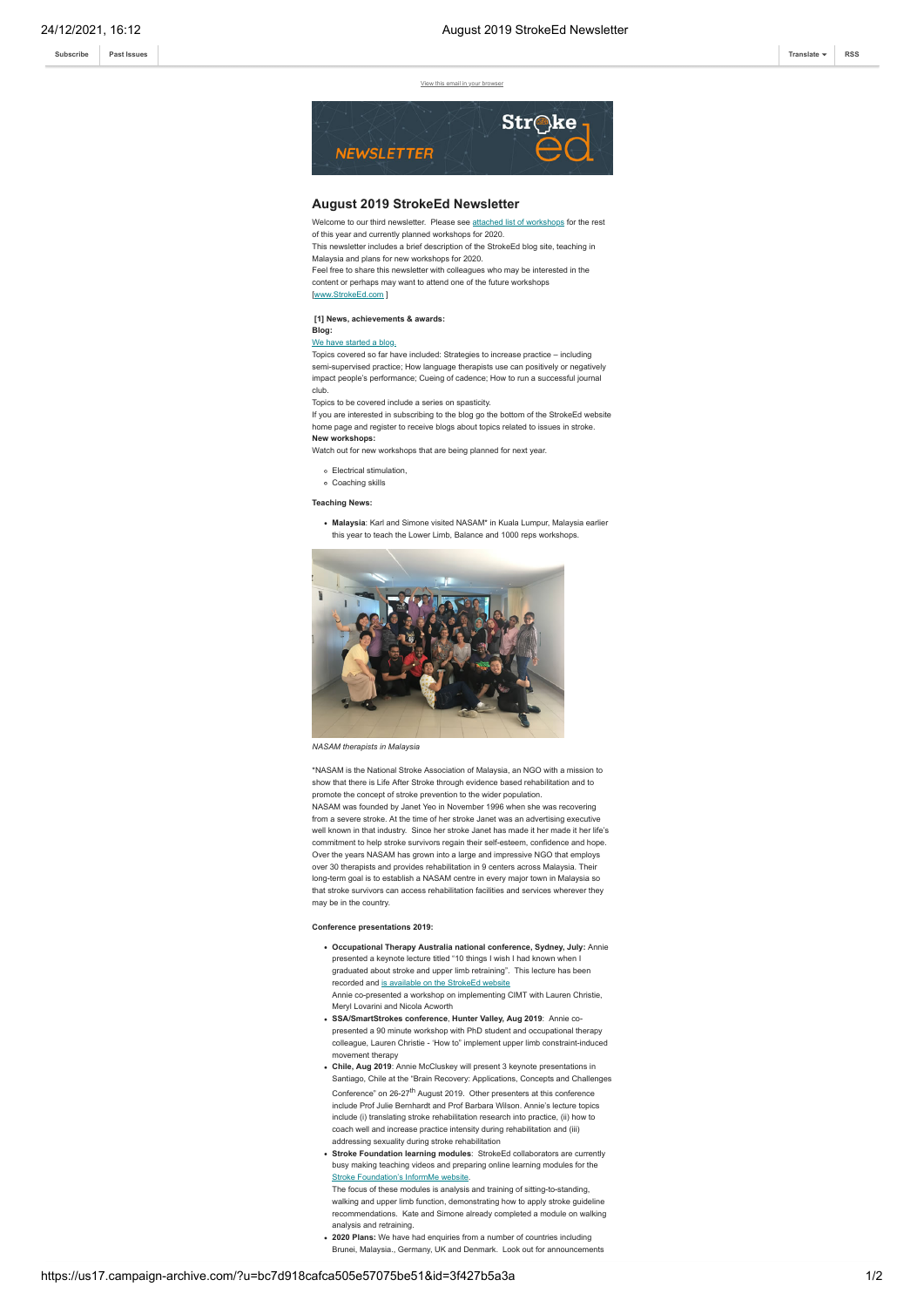**[Subscribe](http://eepurl.com/dALkcT) [Past Issues](https://us17.campaign-archive.com/home/?u=bc7d918cafca505e57075be51&id=1c918590b8) [Translate](javascript:;) [RSS](https://us17.campaign-archive.com/feed?u=bc7d918cafca505e57075be51&id=1c918590b8)**

View this email in your br



### **August 2019 StrokeEd Newsletter**

Welcome to our third newsletter. Please see [attached list of workshops](https://gallery.mailchimp.com/bc7d918cafca505e57075be51/files/e68fb4ea-3421-4481-83b5-14d9e5b9d268/Workshop_table_2019_2020.pdf) for the rest of this year and currently planned workshops for 2020.

This newsletter includes a brief description of the StrokeEd blog site, teaching in Malaysia and plans for new workshops for 2020.

Feel free to share this newsletter with colleagues who may be interested in the content or perhaps may want to attend one of the future workshops

[[www.StrokeEd.com](http://www.strokeed.com/) ]

#### **[1] News, achievements & awards:**

#### **Blog:** [We have started a blog.](http://strokeed.com/blog/)

Topics covered so far have included: Strategies to increase practice – including semi-supervised practice; How language therapists use can positively or negatively impact people's performance; Cueing of cadence; How to run a successful journal club.

Topics to be covered include a series on spasticity.

If you are interested in subscribing to the blog go the bottom of the StrokeEd website home page and register to receive blogs about topics related to issues in stroke. **New workshops:**

Watch out for new workshops that are being planned for next year.

- Electrical stimulation,
- Coaching skills

**Teaching News:**

**Malaysia**: Karl and Simone visited NASAM\* in Kuala Lumpur, Malaysia earlier this year to teach the Lower Limb, Balance and 1000 reps workshops.



*NASAM therapists in Malaysia*

\*NASAM is the National Stroke Association of Malaysia, an NGO with a mission to show that there is Life After Stroke through evidence based rehabilitation and to promote the concept of stroke prevention to the wider population. NASAM was founded by Janet Yeo in November 1996 when she was recovering from a severe stroke. At the time of her stroke Janet was an advertising executive well known in that industry. Since her stroke Janet has made it her made it her life's commitment to help stroke survivors regain their self-esteem, confidence and hope. Over the years NASAM has grown into a large and impressive NGO that employs over 30 therapists and provides rehabilitation in 9 centers across Malaysia. Their long-term goal is to establish a NASAM centre in every major town in Malaysia so that stroke survivors can access rehabilitation facilities and services wherever they may be in the country.

#### **Conference presentations 2019:**

- **Occupational Therapy Australia national conference, Sydney, July:** Annie presented a keynote lecture titled "10 things I wish I had known when I graduated about stroke and upper limb retraining". This lecture has been recorded and [is available on the StrokeEd website](http://strokeed.com/about-workshops/free-lectures/) Annie co-presented a workshop on implementing CIMT with Lauren Christie, Meryl Lovarini and Nicola Acworth
- **SSA/SmartStrokes conference**, **Hunter Valley, Aug 2019**: Annie copresented a 90 minute workshop with PhD student and occupational therapy colleague, Lauren Christie - 'How to" implement upper limb constraint-induced movement therapy
- **Chile, Aug 2019**: Annie McCluskey will present 3 keynote presentations in Santiago, Chile at the "Brain Recovery: Applications, Concepts and Challenges Conference" on 26-27<sup>th</sup> August 2019. Other presenters at this conference include Prof Julie Bernhardt and Prof Barbara Wilson. Annie's lecture topics include (i) translating stroke rehabilitation research into practice, (ii) how to coach well and increase practice intensity during rehabilitation and (iii) addressing sexuality during stroke rehabilitation
- **Stroke Foundation learning modules**: StrokeEd collaborators are currently busy making teaching videos and preparing online learning modules for the [Stroke Foundation's InformMe website](https://informme.org.au/Learning-and-resources).

The focus of these modules is analysis and training of sitting-to-standing, walking and upper limb function, demonstrating how to apply stroke guideline recommendations. Kate and Simone already completed a module on walking analysis and retraining.

**2020 Plans:** We have had enquiries from a number of countries including Brunei, Malaysia., Germany, UK and Denmark. Look out for announcements